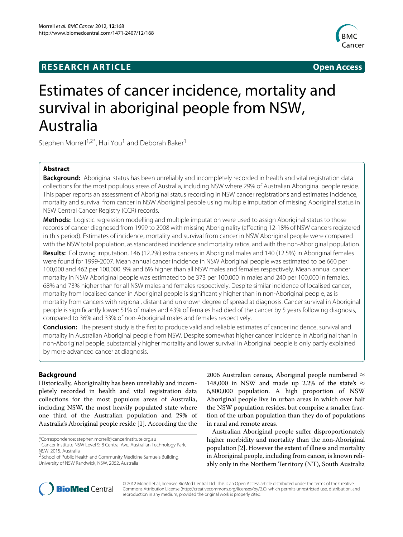# **RESEARCH ARTICLE Open Access**



# Estimates of cancer incidence, mortality and survival in aboriginal people from NSW, Australia

Stephen Morrell<sup>1,2\*</sup>, Hui You<sup>1</sup> and Deborah Baker<sup>1</sup>

# **Abstract**

**Background:** Aboriginal status has been unreliably and incompletely recorded in health and vital registration data collections for the most populous areas of Australia, including NSW where 29% of Australian Aboriginal people reside. This paper reports an assessment of Aboriginal status recording in NSW cancer registrations and estimates incidence, mortality and survival from cancer in NSW Aboriginal people using multiple imputation of missing Aboriginal status in NSW Central Cancer Registry (CCR) records.

**Methods:** Logistic regression modelling and multiple imputation were used to assign Aboriginal status to those records of cancer diagnosed from 1999 to 2008 with missing Aboriginality (affecting 12-18% of NSW cancers registered in this period). Estimates of incidence, mortality and survival from cancer in NSW Aboriginal people were compared with the NSW total population, as standardised incidence and mortality ratios, and with the non-Aboriginal population.

**Results:** Following imputation, 146 (12.2%) extra cancers in Aboriginal males and 140 (12.5%) in Aboriginal females were found for 1999-2007. Mean annual cancer incidence in NSW Aboriginal people was estimated to be 660 per 100,000 and 462 per 100,000, 9% and 6% higher than all NSW males and females respectively. Mean annual cancer mortality in NSW Aboriginal people was estimated to be 373 per 100,000 in males and 240 per 100,000 in females, 68% and 73% higher than for all NSW males and females respectively. Despite similar incidence of localised cancer, mortality from localised cancer in Aboriginal people is significantly higher than in non-Aboriginal people, as is mortality from cancers with regional, distant and unknown degree of spread at diagnosis. Cancer survival in Aboriginal people is significantly lower: 51% of males and 43% of females had died of the cancer by 5 years following diagnosis, compared to 36% and 33% of non-Aboriginal males and females respectively.

**Conclusion:** The present study is the first to produce valid and reliable estimates of cancer incidence, survival and mortality in Australian Aboriginal people from NSW. Despite somewhat higher cancer incidence in Aboriginal than in non-Aboriginal people, substantially higher mortality and lower survival in Aboriginal people is only partly explained by more advanced cancer at diagnosis.

# **Background**

Historically, Aboriginality has been unreliably and incompletely recorded in health and vital registration data collections for the most populous areas of Australia, including NSW, the most heavily populated state where one third of the Australian population and 29% of Australia's Aboriginal people reside [\[1\]](#page-14-0). According the the

2006 Australian census, Aboriginal people numbered  $\approx$ 148,000 in NSW and made up 2.2% of the state's  $\approx$ 6,800,000 population. A high proportion of NSW Aboriginal people live in urban areas in which over half the NSW population resides, but comprise a smaller fraction of the urban population than they do of populations in rural and remote areas.

Australian Aboriginal people suffer disproportionately higher morbidity and mortality than the non-Aboriginal population [\[2\]](#page-15-0). However the extent of illness and mortality in Aboriginal people, including from cancer, is known reliably only in the Northern Territory (NT), South Australia



© 2012 Morrell et al.; licensee BioMed Central Ltd. This is an Open Access article distributed under the terms of the Creative Commons Attribution License (http://creativecommons.org/licenses/by/2.0), which permits unrestricted use, distribution, and reproduction in any medium, provided the original work is properly cited.

<sup>\*</sup>Correspondence: stephen.morrell@cancerinstitute.org.au

<sup>1</sup>Cancer Institute NSW Level 9, 8 Central Ave, Australian Technology Park,

NSW, 2015, Australia

<sup>2</sup>School of Public Health and Community Medicine Samuels Building, University of NSW Randwick, NSW, 2052, Australia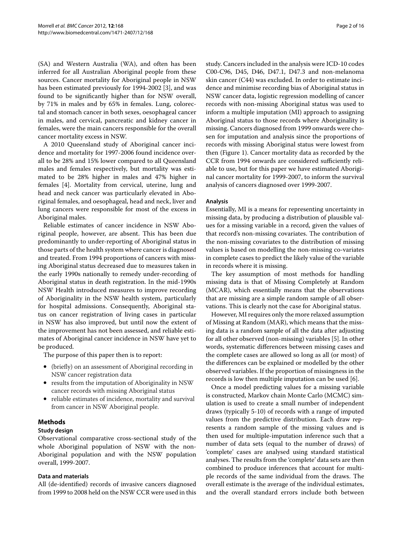(SA) and Western Australia (WA), and often has been inferred for all Australian Aboriginal people from these sources. Cancer mortality for Aboriginal people in NSW has been estimated previously for 1994-2002 [\[3\]](#page-15-1), and was found to be significantly higher than for NSW overall, by 71% in males and by 65% in females. Lung, colorectal and stomach cancer in both sexes, oesophageal cancer in males, and cervical, pancreatic and kidney cancer in females, were the main cancers responsible for the overall cancer mortality excess in NSW.

A 2010 Queensland study of Aboriginal cancer incidence and mortality for 1997-2006 found incidence overall to be 28% and 15% lower compared to all Queensland males and females respectively, but mortality was estimated to be 28% higher in males and 47% higher in females [\[4\]](#page-15-2). Mortality from cervical, uterine, lung and head and neck cancer was particularly elevated in Aboriginal females, and oesophageal, head and neck, liver and lung cancers were responsible for most of the excess in Aboriginal males.

Reliable estimates of cancer incidence in NSW Aboriginal people, however, are absent. This has been due predominantly to under-reporting of Aboriginal status in those parts of the health system where cancer is diagnosed and treated. From 1994 proportions of cancers with missing Aboriginal status decreased due to measures taken in the early 1990s nationally to remedy under-recording of Aboriginal status in death registration. In the mid-1990s NSW Health introduced measures to improve recording of Aboriginality in the NSW health system, particularly for hospital admissions. Consequently, Aboriginal status on cancer registration of living cases in particular in NSW has also improved, but until now the extent of the improvement has not been assessed, and reliable estimates of Aboriginal cancer incidence in NSW have yet to be produced.

The purpose of this paper then is to report:

- (briefly) on an assessment of Aboriginal recording in NSW cancer registration data
- results from the imputation of Aboriginality in NSW cancer records with missing Aboriginal status
- reliable estimates of incidence, mortality and survival from cancer in NSW Aboriginal people.

# **Methods**

# **Study design**

Observational comparative cross-sectional study of the whole Aboriginal population of NSW with the non-Aboriginal population and with the NSW population overall, 1999-2007.

# **Data and materials**

All (de-identified) records of invasive cancers diagnosed from 1999 to 2008 held on the NSW CCR were used in this study. Cancers included in the analysis were ICD-10 codes C00-C96, D45, D46, D47.1, D47.3 and non-melanoma skin cancer (C44) was excluded. In order to estimate incidence and minimise recording bias of Aboriginal status in NSW cancer data, logistic regression modelling of cancer records with non-missing Aboriginal status was used to inform a multiple imputation (MI) approach to assigning Aboriginal status to those records where Aboriginality is missing. Cancers diagnosed from 1999 onwards were chosen for imputation and analysis since the proportions of records with missing Aboriginal status were lowest from then (Figure [1\)](#page-2-0). Cancer mortality data as recorded by the CCR from 1994 onwards are considered sufficiently reliable to use, but for this paper we have estimated Aboriginal cancer mortality for 1999-2007, to inform the survival analysis of cancers diagnosed over 1999-2007.

#### **Analysis**

Essentially, MI is a means for representing uncertainty in missing data, by producing a distribution of plausible values for a missing variable in a record, given the values of that record's non-missing covariates. The contribution of the non-missing covariates to the distribution of missing values is based on modelling the non-missing co-variates in complete cases to predict the likely value of the variable in records where it is missing.

The key assumption of most methods for handling missing data is that of Missing Completely at Random (MCAR), which essentially means that the observations that are missing are a simple random sample of all observations. This is clearly not the case for Aboriginal status.

However, MI requires only the more relaxed assumption of Missing at Random (MAR), which means that the missing data is a random sample of all the data after adjusting for all other observed (non-missing) variables [\[5\]](#page-15-3). In other words, systematic differences between missing cases and the complete cases are allowed so long as all (or most) of the differences can be explained or modelled by the other observed variables. If the proportion of missingness in the records is low then multiple imputation can be used [\[6\]](#page-15-4).

Once a model predicting values for a missing variable is constructed, Markov chain Monte Carlo (MCMC) simulation is used to create a small number of independent draws (typically 5-10) of records with a range of imputed values from the predictive distribution. Each draw represents a random sample of the missing values and is then used for multiple-imputation inference such that a number of data sets (equal to the number of draws) of 'complete' cases are analysed using standard statistical analyses. The results from the 'complete' data sets are then combined to produce inferences that account for multiple records of the same individual from the draws. The overall estimate is the average of the individual estimates, and the overall standard errors include both between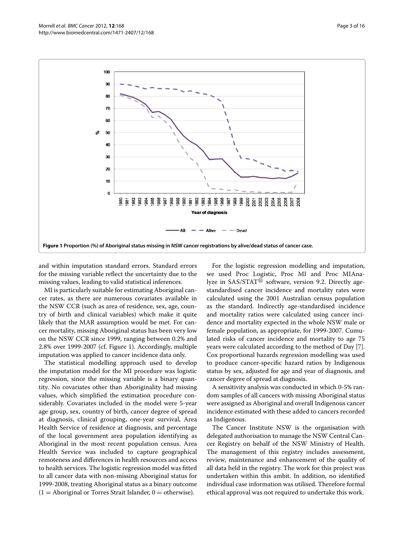and within imputation standard errors. Standard errors for the missing variable reflect the uncertainty due to the missing values, leading to valid statistical inferences.

MI is particularly suitable for estimating Aboriginal cancer rates, as there are numerous covariates available in the NSW CCR (such as area of residence, sex, age, country of birth and clinical variables) which make it quite likely that the MAR assumption would be met. For cancer mortality, missing Aboriginal status has been very low on the NSW CCR since 1999, ranging between 0.2% and 2.8% over 1999-2007 (cf. Figure [1\)](#page-2-0). Accordingly, multiple imputation was applied to cancer incidence data only.

The statistical modelling approach used to develop the imputation model for the MI procedure was logistic regression, since the missing variable is a binary quantity. No covariates other than Aboriginality had missing values, which simplified the estimation procedure considerably. Covariates included in the model were 5-year age group, sex, country of birth, cancer degree of spread at diagnosis, clinical grouping, one-year survival, Area Health Service of residence at diagnosis, and percentage of the local government area population identifying as Aboriginal in the most recent population census. Area Health Service was included to capture geographical remoteness and differences in health resources and access to health services. The logistic regression model was fitted to all cancer data with non-missing Aboriginal status for 1999-2008, treating Aboriginal status as a binary outcome  $(1 =$  Aboriginal or Torres Strait Islander,  $0 =$  otherwise).

For the logistic regression modelling and imputation, we used Proc Logistic, Proc MI and Proc MIAnalyze in SAS/STAT $^\circledR$  software, version 9.2. Directly agestandardised cancer incidence and mortality rates were calculated using the 2001 Australian census population as the standard. Indirectly age-standardised incidence and mortality ratios were calculated using cancer incidence and mortality expected in the whole NSW male or female population, as appropriate, for 1999-2007. Cumulated risks of cancer incidence and mortality to age 75 years were calculated according to the method of Day [\[7\]](#page-15-5). Cox proportional hazards regression modelling was used to produce cancer-specific hazard ratios by Indigenous status by sex, adjusted for age and year of diagnosis, and cancer degree of spread at diagnosis.

A sensitivity analysis was conducted in which 0-5% random samples of all cancers with missing Aboriginal status were assigned as Aboriginal and overall Indigenous cancer incidence estimated with these added to cancers recorded as Indigenous.

The Cancer Institute NSW is the organisation with delegated authorisation to manage the NSW Central Cancer Registry on behalf of the NSW Ministry of Health. The management of this registry includes assessment, review, maintenance and enhancement of the quality of all data held in the registry. The work for this project was undertaken within this ambit. In addition, no identified individual case information was utilised. Therefore formal ethical approval was not required to undertake this work.



<span id="page-2-0"></span>**Figure 1 Proportion (%) of Aboriginal status missing in NSW cancer registrations by alive/dead status of cancer case.**

ΔIΙ

**Year of diagnosis** 

 $=$  Alive

Dead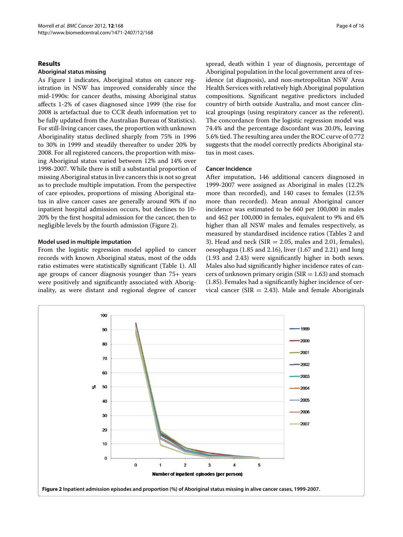#### **Results**

#### **Aboriginal status missing**

As Figure [1](#page-2-0) indicates, Aboriginal status on cancer registration in NSW has improved considerably since the mid-1990s: for cancer deaths, missing Aboriginal status affects 1-2% of cases diagnosed since 1999 (the rise for 2008 is artefactual due to CCR death information yet to be fully updated from the Australian Bureau of Statistics). For still-living cancer cases, the proportion with unknown Aboriginality status declined sharply from 75% in 1996 to 30% in 1999 and steadily thereafter to under 20% by 2008. For all registered cancers, the proportion with missing Aboriginal status varied between 12% and 14% over 1998-2007. While there is still a substantial proportion of missing Aboriginal status in live cancers this is not so great as to preclude multiple imputation. From the perspective of care episodes, proportions of missing Aboriginal status in alive cancer cases are generally around 90% if no inpatient hospital admission occurs, but declines to 10- 20% by the first hospital admission for the cancer, then to negligible levels by the fourth admission (Figure [2\)](#page-3-0).

# **Model used in multiple imputation**

From the logistic regression model applied to cancer records with known Aboriginal status, most of the odds ratio estimates were statistically significant (Table [1\)](#page-4-0). All age groups of cancer diagnosis younger than 75+ years were positively and significantly associated with Aboriginality, as were distant and regional degree of cancer spread, death within 1 year of diagnosis, percentage of Aboriginal population in the local government area of residence (at diagnosis), and non-metropolitan NSW Area Health Services with relatively high Aboriginal population compositions. Significant negative predictors included country of birth outside Australia, and most cancer clinical groupings (using respiratory cancer as the referent). The concordance from the logistic regression model was 74.4% and the percentage discordant was 20.0%, leaving 5.6% tied. The resulting area under the ROC curve of 0.772 suggests that the model correctly predicts Aboriginal status in most cases.

#### **Cancer Incidence**

After imputation, 146 additional cancers diagnosed in 1999-2007 were assigned as Aboriginal in males (12.2% more than recorded), and 140 cases to females (12.5% more than recorded). Mean annual Aboriginal cancer incidence was estimated to be 660 per 100,000 in males and 462 per 100,000 in females, equivalent to 9% and 6% higher than all NSW males and females respectively, as measured by standardised incidence ratios (Tables [2](#page-6-0) and [3\)](#page-7-0). Head and neck ( $SIR = 2.05$ , males and 2.01, females), oesophagus (1.85 and 2.16), liver (1.67 and 2.21) and lung (1.93 and 2.43) were significantly higher in both sexes. Males also had significantly higher incidence rates of cancers of unknown primary origin ( $SIR = 1.63$ ) and stomach (1.85). Females had a significantly higher incidence of cervical cancer ( $SIR = 2.43$ ). Male and female Aboriginals

<span id="page-3-0"></span>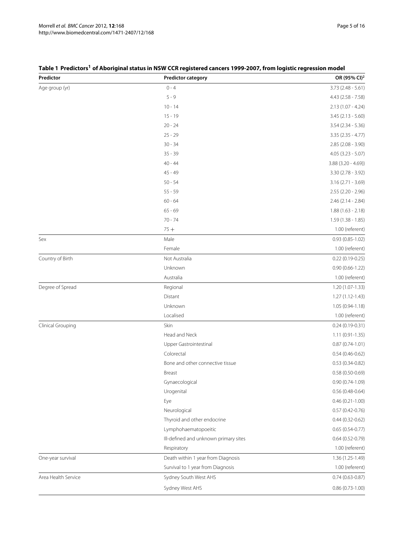<span id="page-4-0"></span>

| Predictor           | <b>Predictor category</b>             | OR (95% CI) <sup>2</sup> |
|---------------------|---------------------------------------|--------------------------|
| Age group (yr)      | $0 - 4$                               | $3.73(2.48 - 5.61)$      |
|                     | $5 - 9$                               | 4.43 (2.58 - 7.58)       |
|                     | $10 - 14$                             | $2.13(1.07 - 4.24)$      |
|                     | $15 - 19$                             | $3.45(2.13 - 5.60)$      |
|                     | $20 - 24$                             | 3.54 (2.34 - 5.36)       |
|                     | $25 - 29$                             | $3.35(2.35 - 4.77)$      |
|                     | $30 - 34$                             | 2.85 (2.08 - 3.90)       |
|                     | $35 - 39$                             | $4.05(3.23 - 5.07)$      |
|                     | $40 - 44$                             | 3.88 (3.20 - 4.69))      |
|                     | $45 - 49$                             | 3.30 (2.78 - 3.92)       |
|                     | $50 - 54$                             | $3.16(2.71 - 3.69)$      |
|                     | $55 - 59$                             | 2.55 (2.20 - 2.96)       |
|                     | $60 - 64$                             | 2.46 (2.14 - 2.84)       |
|                     | $65 - 69$                             | $1.88(1.63 - 2.18)$      |
|                     | $70 - 74$                             | 1.59 (1.38 - 1.85)       |
|                     | $75 +$                                | 1.00 (referent)          |
| Sex                 | Male                                  | 0.93 (0.85-1.02)         |
|                     | Female                                | 1.00 (referent)          |
| Country of Birth    | Not Australia                         | $0.22(0.19 - 0.25)$      |
|                     | Unknown                               | $0.90(0.66 - 1.22)$      |
|                     | Australia                             | 1.00 (referent)          |
| Degree of Spread    | Regional                              | 1.20 (1.07-1.33)         |
|                     | Distant                               | $1.27(1.12 - 1.43)$      |
|                     | Unknown                               | 1.05 (0.94-1.18)         |
|                     | Localised                             | 1.00 (referent)          |
| Clinical Grouping   | Skin                                  | $0.24(0.19 - 0.31)$      |
|                     | Head and Neck                         | 1.11 (0.91-1.35)         |
|                     | Upper Gastrointestinal                | $0.87(0.74-1.01)$        |
|                     | Colorectal                            | $0.54(0.46 - 0.62)$      |
|                     | Bone and other connective tissue      | 0.53 (0.34-0.82)         |
|                     | Breast                                | 0.58 (0.50-0.69)         |
|                     | Gynaecological                        | 0.90 (0.74-1.09)         |
|                     | Urogenital                            | $0.56(0.48 - 0.64)$      |
|                     | Eye                                   | $0.46(0.21-1.00)$        |
|                     | Neurological                          | 0.57 (0.42-0.76)         |
|                     | Thyroid and other endocrine           | $0.44(0.32 - 0.62)$      |
|                     | Lymphohaematopoeitic                  | $0.65(0.54-0.77)$        |
|                     | Ill-defined and unknown primary sites | $0.64(0.52 - 0.79)$      |
|                     | Respiratory                           | 1.00 (referent)          |
| One-year survival   | Death within 1 year from Diagnosis    | 1.36 (1.25-1.49)         |
|                     | Survival to 1 year from Diagnosis     | 1.00 (referent)          |
| Area Health Service | Sydney South West AHS                 | $0.74(0.63 - 0.87)$      |
|                     | Sydney West AHS                       | 0.86 (0.73-1.00)         |
|                     |                                       |                          |

# **Table 1 Predictors1 of Aboriginal status in NSW CCR registered cancers 1999-2007, from logistic regression model**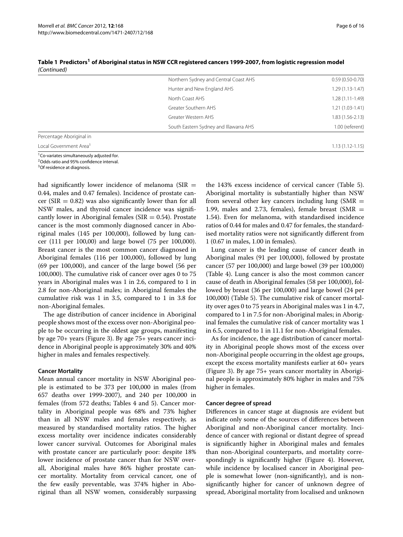|                                    | Northern Sydney and Central Coast AHS  | $0.59(0.50-0.70)$   |
|------------------------------------|----------------------------------------|---------------------|
|                                    | Hunter and New England AHS             | $1.29(1.13-1.47)$   |
|                                    | North Coast AHS                        | $1.28(1.11 - 1.49)$ |
|                                    | Greater Southern AHS                   | $1.21(1.03-1.41)$   |
|                                    | Greater Western AHS                    | $1.83(1.56-2.13)$   |
|                                    | South Eastern Sydney and Illawarra AHS | 1.00 (referent)     |
| Percentage Aboriginal in           |                                        |                     |
| Local Government Area <sup>3</sup> |                                        | $1.13(1.12 - 1.15)$ |

**Table 1 Predictors1 of Aboriginal status in NSW CCR registered cancers 1999-2007, from logistic regression model** *(Continued)*

1Co-variates simultaneously adjusted for.

<span id="page-5-0"></span>2Odds ratio and 95% confidence interval.

3Of residence at diagnosis.

had significantly lower incidence of melanoma ( $SIR =$ 0.44, males and 0.47 females). Incidence of prostate cancer ( $SIR = 0.82$ ) was also significantly lower than for all NSW males, and thyroid cancer incidence was significantly lower in Aboriginal females ( $SIR = 0.54$ ). Prostate cancer is the most commonly diagnosed cancer in Aboriginal males (145 per 100,000), followed by lung cancer (111 per 100,00) and large bowel (75 per 100,000). Breast cancer is the most common cancer diagnosed in Aboriginal females (116 per 100,000), followed by lung (69 per 100,000), and cancer of the large bowel (56 per 100,000). The cumulative risk of cancer over ages 0 to 75 years in Aboriginal males was 1 in 2.6, compared to 1 in 2.8 for non-Aboriginal males; in Aboriginal females the cumulative risk was 1 in 3.5, compared to 1 in 3.8 for non-Aboriginal females.

The age distribution of cancer incidence in Aboriginal people shows most of the excess over non-Aboriginal people to be occurring in the oldest age groups, manifesting by age 70+ years (Figure [3\)](#page-8-0). By age 75+ years cancer incidence in Aboriginal people is approximately 30% and 40% higher in males and females respectively.

# **Cancer Mortality**

Mean annual cancer mortality in NSW Aboriginal people is estimated to be 373 per 100,000 in males (from 657 deaths over 1999-2007), and 240 per 100,000 in females (from 572 deaths; Tables [4](#page-9-0) and [5\)](#page-10-0). Cancer mortality in Aboriginal people was 68% and 73% higher than in all NSW males and females respectively, as measured by standardised mortality ratios. The higher excess mortality over incidence indicates considerably lower cancer survival. Outcomes for Aboriginal males with prostate cancer are particularly poor: despite 18% lower incidence of prostate cancer than for NSW overall, Aboriginal males have 86% higher prostate cancer mortality. Mortality from cervical cancer, one of the few easily preventable, was 374% higher in Aboriginal than all NSW women, considerably surpassing the 143% excess incidence of cervical cancer (Table [5\)](#page-10-0). Aboriginal mortality is substantially higher than NSW from several other key cancers including lung (SMR  $=$ 1.99, males and 2.73, females), female breast (SMR  $=$ 1.54). Even for melanoma, with standardised incidence ratios of 0.44 for males and 0.47 for females, the standardised mortality ratios were not significantly different from 1 (0.67 in males, 1.00 in females).

Lung cancer is the leading cause of cancer death in Aboriginal males (91 per 100,000), followed by prostate cancer (57 per 100,000) and large bowel (39 per 100,000) (Table [4\)](#page-9-0). Lung cancer is also the most common cancer cause of death in Aboriginal females (58 per 100,000), followed by breast (36 per 100,000) and large bowel (24 per 100,000) (Table [5\)](#page-10-0). The cumulative risk of cancer mortality over ages 0 to 75 years in Aboriginal males was 1 in 4.7, compared to 1 in 7.5 for non-Aboriginal males; in Aboriginal females the cumulative risk of cancer mortality was 1 in 6.5, compared to 1 in 11.1 for non-Aboriginal females.

As for incidence, the age distribution of cancer mortality in Aboriginal people shows most of the excess over non-Aboriginal people occurring in the oldest age groups, except the excess mortality manifests earlier at 60+ years (Figure [3\)](#page-8-0). By age 75+ years cancer mortality in Aboriginal people is approximately 80% higher in males and 75% higher in females.

# **Cancer degree of spread**

Differences in cancer stage at diagnosis are evident but indicate only some of the sources of differences between Aboriginal and non-Aboriginal cancer mortality. Incidence of cancer with regional or distant degree of spread is significantly higher in Aboriginal males and females than non-Aboriginal counterparts, and mortality correspondingly is significantly higher (Figure [4\)](#page-11-0). However, while incidence by localised cancer in Aboriginal people is somewhat lower (non-significantly), and is nonsignificantly higher for cancer of unknown degree of spread, Aboriginal mortality from localised and unknown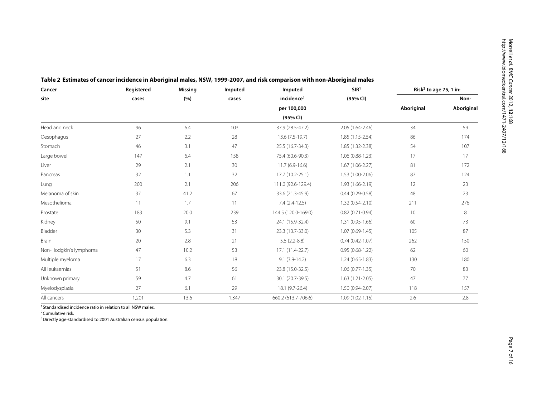| Cancer                 | Registered | <b>Missing</b> | Imputed | Imputed                | SIR <sup>1</sup>    | Risk <sup>2</sup> to age 75, 1 in: |            |
|------------------------|------------|----------------|---------|------------------------|---------------------|------------------------------------|------------|
| site                   | cases      | (%)            | cases   | incidence <sup>3</sup> | (95% CI)            |                                    | Non-       |
|                        |            |                |         | per 100,000            |                     | Aboriginal                         | Aboriginal |
|                        |            |                |         | (95% CI)               |                     |                                    |            |
| Head and neck          | 96         | 6.4            | 103     | 37.9 (28.5-47.2)       | 2.05 (1.64-2.46)    | 34                                 | 59         |
| Oesophagus             | 27         | 2.2            | 28      | $13.6(7.5-19.7)$       | 1.85 (1.15-2.54)    | 86                                 | 174        |
| Stomach                | 46         | 3.1            | 47      | 25.5 (16.7-34.3)       | 1.85 (1.32-2.38)    | 54                                 | 107        |
| Large bowel            | 147        | 6.4            | 158     | 75.4 (60.6-90.3)       | 1.06 (0.88-1.23)    | 17                                 | 17         |
| Liver                  | 29         | 2.1            | 30      | $11.7(6.9-16.6)$       | $1.67(1.06 - 2.27)$ | 81                                 | 172        |
| Pancreas               | 32         | 1.1            | 32      | 17.7 (10.2-25.1)       | 1.53 (1.00-2.06)    | 87                                 | 124        |
| Lung                   | 200        | 2.1            | 206     | 111.0 (92.6-129.4)     | 1.93 (1.66-2.19)    | 12                                 | 23         |
| Melanoma of skin       | 37         | 41.2           | 67      | 33.6 (21.3-45.9)       | $0.44(0.29 - 0.58)$ | 48                                 | 23         |
| Mesothelioma           | 11         | 1.7            | 11      | $7.4(2.4-12.5)$        | 1.32 (0.54-2.10)    | 211                                | 276        |
| Prostate               | 183        | 20.0           | 239     | 144.5 (120.0-169.0)    | $0.82(0.71 - 0.94)$ | 10                                 | 8          |
| Kidney                 | 50         | 9.1            | 53      | 24.1 (15.9-32.4)       | 1.31 (0.95-1.66)    | 60                                 | 73         |
| Bladder                | 30         | 5.3            | 31      | 23.3 (13.7-33.0)       | 1.07 (0.69-1.45)    | 105                                | 87         |
| Brain                  | 20         | 2.8            | 21      | $5.5(2.2 - 8.8)$       | $0.74(0.42 - 1.07)$ | 262                                | 150        |
| Non-Hodgkin's lymphoma | 47         | 10.2           | 53      | 17.1 (11.4-22.7)       | $0.95(0.68-1.22)$   | 62                                 | 60         |
| Multiple myeloma       | 17         | 6.3            | 18      | $9.1(3.9-14.2)$        | $1.24(0.65 - 1.83)$ | 130                                | 180        |
| All leukaemias         | 51         | 8.6            | 56      | 23.8 (15.0-32.5)       | $1.06(0.77-1.35)$   | 70                                 | 83         |
| Unknown primary        | 59         | 4.7            | 61      | 30.1 (20.7-39.5)       | 1.63 (1.21-2.05)    | 47                                 | 77         |
| Myelodysplasia         | 27         | 6.1            | 29      | 18.1 (9.7-26.4)        | 1.50 (0.94-2.07)    | 118                                | 157        |
| All cancers            | 1,201      | 13.6           | 1,347   | 660.2 (613.7-706.6)    | $1.09(1.02 - 1.15)$ | 2.6                                | 2.8        |

**Table 2 Estimates of cancer incidence in Aboriginal males, NSW, 1999-2007, and risk comparison with non-Aboriginal males**

<sup>1</sup> Standardised incidence ratio in relation to all NSW males.

<sup>2</sup>Cumulative risk.

<span id="page-6-1"></span><span id="page-6-0"></span><sup>3</sup> Directly age-standardised to 2001 Australian census population.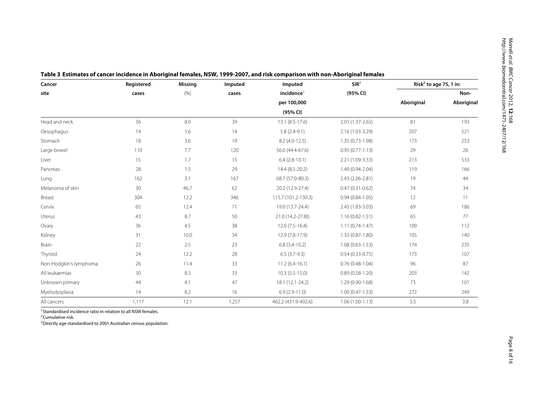| Cancer                 | Registered | <b>Missing</b> | Imputed | Imputed                | SIR <sup>1</sup>    | Risk <sup>2</sup> to age 75, 1 in: |            |
|------------------------|------------|----------------|---------|------------------------|---------------------|------------------------------------|------------|
| site                   | cases      | (% )           | cases   | incidence <sup>3</sup> | (95% CI)            |                                    | Non-       |
|                        |            |                |         | per 100,000            |                     | Aboriginal                         | Aboriginal |
|                        |            |                |         | (95% CI)               |                     |                                    |            |
| Head and neck          | 36         | 8.0            | 39      | 13.1 (8.5-17.6)        | 2.01 (1.37-2.65)    | 81                                 | 193        |
| Oesophagus             | 14         | 1.6            | 14      | $5.8(2.4-9.1)$         | 2.16 (1.03-3.29)    | 207                                | 521        |
| Stomach                | 18         | 3.6            | 19      | $8.2(4.0-12.5)$        | $1.35(0.73-1.98)$   | 173                                | 253        |
| Large bowel            | 110        | 7.7            | 120     | 56.0 (44.4-67.6)       | $0.95(0.77 - 1.13)$ | 29                                 | 26         |
| Liver                  | 15         | 1.7            | 15      | $6.4(2.8-10.1)$        | 2.21 (1.09-3.33)    | 213                                | 533        |
| Pancreas               | 28         | 1.5            | 29      | 14.4 (8.5-20.2)        | 1.49 (0.94-2.04)    | 119                                | 166        |
| Lung                   | 162        | 3.1            | 167     | 68.7 (57.0-80.3)       | 2.43 (2.06-2.81)    | 19                                 | 44         |
| Melanoma of skin       | 30         | 46.7           | 62      | 20.2 (12.9-27.4)       | $0.47(0.31 - 0.62)$ | 74                                 | 34         |
| Breast                 | 304        | 12.2           | 346     | 115.7 (101.2-130.3)    | $0.94(0.84 - 1.05)$ | 12                                 | 11         |
| Cervix                 | 65         | 12.4           | 71      | 19.0 (13.7-24.4)       | 2.43 (1.83-3.03)    | 69                                 | 186        |
| Uterus                 | 43         | 8.7            | 50      | 21.0 (14.2-27.8))      | $1.16(0.82 - 1.51)$ | 65                                 | 77         |
| Ovary                  | 36         | 4.5            | 38      | $12.0(7.5-16.4)$       | $1.11(0.74-1.47)$   | 109                                | 112        |
| Kidney                 | 31         | 10.0           | 34      | 12.9 (7.8-17.9)        | $1.33(0.87 - 1.80)$ | 105                                | 140        |
| Brain                  | 22         | 2.5            | 23      | $6.8(3.4-10.2)$        | $1.08(0.63 - 1.53)$ | 174                                | 235        |
| Thyroid                | 24         | 12.2           | 28      | $6.5(3.7-9.3)$         | $0.54(0.33 - 0.75)$ | 173                                | 107        |
| Non-Hodgkin's lymphoma | 26         | 11.4           | 33      | $11.2(6.4-16.1)$       | $0.76(0.48-1.04)$   | 96                                 | 87         |
| All leukaemias         | 30         | 8.3            | 33      | $10.3(5.5-15.0)$       | $0.89(0.58-1.20)$   | 203                                | 142        |
| Unknown primary        | 44         | 4.1            | 47      | 18.1 (12.1-24.2)       | $1.29(0.90-1.68)$   | 73                                 | 101        |
| Myelodysplasia         | 14         | 8.2            | 16      | $6.9(2.9-11.0)$        | $1.00(0.47-1.53)$   | 272                                | 249        |
| All cancers            | 1,117      | 12.1           | 1,257   | 462.2 (431.9-492.6)    | $1.06(1.00-1.13)$   | 3.5                                | 3.8        |

**Table 3 Estimates of cancer incidence in Aboriginal females, NSW, 1999-2007, and risk comparison with non-Aboriginal females**

<sup>1</sup> Standardised incidence ratio in relation to all NSW females.

<sup>2</sup>Cumulative risk.

<span id="page-7-1"></span><span id="page-7-0"></span> $3$ Directly age-standardised to 2001 Australian census population.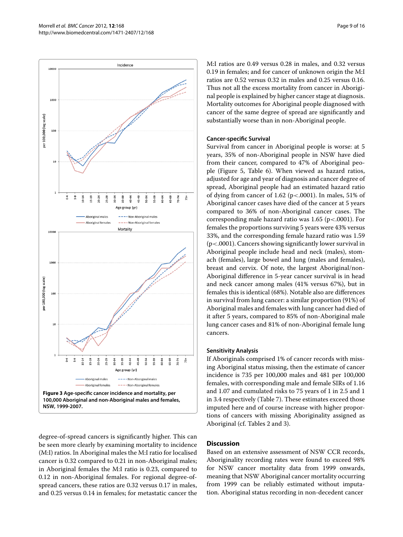

<span id="page-8-0"></span>degree-of-spread cancers is significantly higher. This can be seen more clearly by examining mortality to incidence (M:I) ratios. In Aboriginal males the M:I ratio for localised cancer is 0.32 compared to 0.21 in non-Aboriginal males; in Aboriginal females the M:I ratio is 0.23, compared to 0.12 in non-Aboriginal females. For regional degree-ofspread cancers, these ratios are 0.32 versus 0.17 in males, and 0.25 versus 0.14 in females; for metastatic cancer the

M:I ratios are 0.49 versus 0.28 in males, and 0.32 versus 0.19 in females; and for cancer of unknown origin the M:I ratios are 0.52 versus 0.32 in males and 0.25 versus 0.16. Thus not all the excess mortality from cancer in Aboriginal people is explained by higher cancer stage at diagnosis. Mortality outcomes for Aboriginal people diagnosed with cancer of the same degree of spread are significantly and substantially worse than in non-Aboriginal people.

# **Cancer-specific Survival**

Survival from cancer in Aboriginal people is worse: at 5 years, 35% of non-Aboriginal people in NSW have died from their cancer, compared to 47% of Aboriginal people (Figure [5,](#page-12-0) Table [6\)](#page-13-0). When viewed as hazard ratios, adjusted for age and year of diagnosis and cancer degree of spread, Aboriginal people had an estimated hazard ratio of dying from cancer of 1.62 (p*<*.0001). In males, 51% of Aboriginal cancer cases have died of the cancer at 5 years compared to 36% of non-Aboriginal cancer cases. The corresponding male hazard ratio was 1.65 (p*<*.0001). For females the proportions surviving 5 years were 43% versus 33%, and the corresponding female hazard ratio was 1.59 (p*<*.0001). Cancers showing significantly lower survival in Aboriginal people include head and neck (males), stomach (females), large bowel and lung (males and females), breast and cervix. Of note, the largest Aboriginal/non-Aboriginal difference in 5-year cancer survival is in head and neck cancer among males (41% versus 67%), but in females this is identical (68%). Notable also are differences in survival from lung cancer: a similar proportion (91%) of Aboriginal males and females with lung cancer had died of it after 5 years, compared to 85% of non-Aboriginal male lung cancer cases and 81% of non-Aboriginal female lung cancers.

# **Sensitivity Analysis**

If Aboriginals comprised 1% of cancer records with missing Aboriginal status missing, then the estimate of cancer incidence is 735 per 100,000 males and 481 per 100,000 females, with corresponding male and female SIRs of 1.16 and 1.07 and cumulated risks to 75 years of 1 in 2.5 and 1 in 3.4 respectively (Table [7\)](#page-14-1). These estimates exceed those imputed here and of course increase with higher proportions of cancers with missing Aboriginality assigned as Aboriginal (cf. Tables [2](#page-6-0) and [3\)](#page-7-0).

# **Discussion**

Based on an extensive assessment of NSW CCR records, Aboriginality recording rates were found to exceed 98% for NSW cancer mortality data from 1999 onwards, meaning that NSW Aboriginal cancer mortality occurring from 1999 can be reliably estimated without imputation. Aboriginal status recording in non-decedent cancer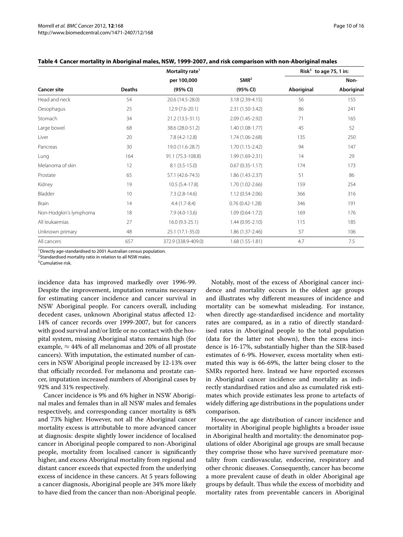<span id="page-9-0"></span>

|                        |               | Mortality rate <sup>1</sup> |                     | Risk <sup>3</sup> to age 75, 1 in: |            |
|------------------------|---------------|-----------------------------|---------------------|------------------------------------|------------|
|                        |               | per 100,000                 | SMR <sup>2</sup>    |                                    | Non-       |
| <b>Cancer site</b>     | <b>Deaths</b> | (95% CI)                    | (95% CI)            | Aboriginal                         | Aboriginal |
| Head and neck          | 54            | 20.6 (14.5-28.0)            | 3.18 (2.39-4.15)    | 56                                 | 155        |
| Oesophagus             | 25            | 12.9 (7.6-20.1)             | 2.31 (1.50-3.42)    | 86                                 | 241        |
| Stomach                | 34            | 21.2 (13.5-31.1)            | 2.09 (1.45-2.92)    | 71                                 | 165        |
| Large bowel            | 68            | 38.6 (28.0-51.2)            | 1.40 (1.08-1.77)    | 45                                 | 52         |
| Liver                  | 20            | $7.8(4.2 - 12.8)$           | 1.74 (1.06-2.68)    | 135                                | 250        |
| Pancreas               | 30            | 19.0 (11.6-28.7)            | 1.70 (1.15-2.42)    | 94                                 | 147        |
| Lung                   | 164           | 91.1 (75.3-108.8)           | 1.99 (1.69-2.31)    | 14                                 | 29         |
| Melanoma of skin       | 12            | $8.1(3.5-15.0)$             | $0.67(0.35 - 1.17)$ | 174                                | 173        |
| Prostate               | 65            | 57.1 (42.6-74.5)            | 1.86 (1.43-2.37)    | 51                                 | 86         |
| Kidney                 | 19            | $10.5(5.4-17.8)$            | 1.70 (1.02-2.66)    | 159                                | 254        |
| Bladder                | 10            | $7.3(2.8-14.6)$             | 1.12 (0.54-2.06)    | 366                                | 316        |
| <b>Brain</b>           | 14            | $4.4(1.7-8.4)$              | $0.76(0.42 - 1.28)$ | 346                                | 191        |
| Non-Hodgkin's lymphoma | 18            | $7.9(4.0-13.6)$             | $1.09(0.64 - 1.72)$ | 169                                | 176        |
| All leukaemias         | 27            | 16.0 (9.3-25.1)             | 1.44 (0.95-2.10)    | 115                                | 185        |
| Unknown primary        | 48            | 25.1 (17.1-35.0)            | 1.86 (1.37-2.46)    | 57                                 | 106        |
| All cancers            | 657           | 372.9 (338.9-409.0)         | $1.68(1.55 - 1.81)$ | 4.7                                | 7.5        |

#### **Table 4 Cancer mortality in Aboriginal males, NSW, 1999-2007, and risk comparison with non-Aboriginal males**

<sup>1</sup> Directly age-standardised to 2001 Australian census population.

<span id="page-9-1"></span><sup>2</sup>Standardised mortality ratio in relation to all NSW males.

3Cumulative risk.

incidence data has improved markedly over 1996-99. Despite the improvement, imputation remains necessary for estimating cancer incidence and cancer survival in NSW Aboriginal people. For cancers overall, including decedent cases, unknown Aboriginal status affected 12- 14% of cancer records over 1999-2007, but for cancers with good survival and/or little or no contact with the hospital system, missing Aboriginal status remains high (for example,  $\approx$  44% of all melanomas and 20% of all prostate cancers). With imputation, the estimated number of cancers in NSW Aboriginal people increased by 12-13% over that officially recorded. For melanoma and prostate cancer, imputation increased numbers of Aboriginal cases by 92% and 31% respectively.

Cancer incidence is 9% and 6% higher in NSW Aboriginal males and females than in all NSW males and females respectively, and corresponding cancer mortality is 68% and 73% higher. However, not all the Aboriginal cancer mortality excess is attributable to more advanced cancer at diagnosis: despite slightly lower incidence of localised cancer in Aboriginal people compared to non-Aboriginal people, mortality from localised cancer is significantly higher, and excess Aboriginal mortality from regional and distant cancer exceeds that expected from the underlying excess of incidence in these cancers. At 5 years following a cancer diagnosis, Aboriginal people are 34% more likely to have died from the cancer than non-Aboriginal people.

Notably, most of the excess of Aboriginal cancer incidence and mortality occurs in the oldest age groups and illustrates why different measures of incidence and mortality can be somewhat misleading. For instance, when directly age-standardised incidence and mortality rates are compared, as in a ratio of directly standardised rates in Aboriginal people to the total population (data for the latter not shown), then the excess incidence is 16-17%, substantially higher than the SIR-based estimates of 6-9%. However, excess mortality when estimated this way is 66-69%, the latter being closer to the SMRs reported here. Instead we have reported excesses in Aboriginal cancer incidence and mortality as indirectly standardised ratios and also as cumulated risk estimates which provide estimates less prone to artefacts of widely differing age distributions in the populations under comparison.

However, the age distribution of cancer incidence and mortality in Aboriginal people highlights a broader issue in Aboriginal health and mortality: the denominator populations of older Aboriginal age groups are small because they comprise those who have survived premature mortality from cardiovascular, endocrine, respiratory and other chronic diseases. Consequently, cancer has become a more prevalent cause of death in older Aboriginal age groups by default. Thus while the excess of morbidity and mortality rates from preventable cancers in Aboriginal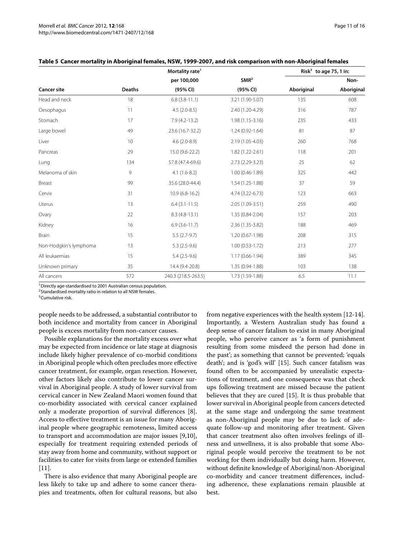|                        |               | Mortality rate <sup>1</sup> |                   | Risk <sup>3</sup> to age 75, 1 in: |            |
|------------------------|---------------|-----------------------------|-------------------|------------------------------------|------------|
|                        |               | per 100,000                 | SMR <sup>2</sup>  |                                    | Non-       |
| <b>Cancer site</b>     | <b>Deaths</b> | (95% CI)                    | (95% CI)          | Aboriginal                         | Aboriginal |
| Head and neck          | 18            | $6.8(3.8-11.1)$             | 3.21 (1.90-5.07)  | 135                                | 608        |
| Oesophagus             | 11            | $4.5(2.0-8.5)$              | 2.40 (1.20-4.29)  | 316                                | 787        |
| Stomach                | 17            | 7.9 (4.2-13.2)              | 1.98 (1.15-3.16)  | 235                                | 433        |
| Large bowel            | 49            | 23.6 (16.7-32.2)            | 1.24 (0.92-1.64)  | 81                                 | 87         |
| Liver                  | 10            | $4.6(2.0-8.9)$              | 2.19 (1.05-4.03)  | 260                                | 768        |
| Pancreas               | 29            | 15.0 (9.6-22.2)             | 1.82 (1.22-2.61)  | 118                                | 201        |
| Lung                   | 134           | 57.8 (47.4-69.6)            | 2.73 (2.29-3.23)  | 25                                 | 62         |
| Melanoma of skin       | 9             | $4.1(1.6-8.2)$              | 1.00 (0.46-1.89)  | 325                                | 442        |
| Breast                 | 99            | 35.6 (28.0-44.4)            | 1.54 (1.25-1.88)  | 37                                 | 59         |
| Cervix                 | 31            | $10.9(6.8-16.2)$            | 4.74 (3.22-6.73)  | 123                                | 663        |
| Uterus                 | 13            | $6.4(3.1-11.5)$             | 2.05 (1.09-3.51)  | 259                                | 490        |
| Ovary                  | 22            | $8.3(4.8-13.1)$             | 1.35 (0.84-2.04)  | 157                                | 203        |
| Kidney                 | 16            | $6.9(3.6-11.7)$             | 2.36 (1.35-3.82)  | 188                                | 469        |
| Brain                  | 15            | $5.5(2.7-9.7)$              | 1.20 (0.67-1.98)  | 208                                | 315        |
| Non-Hodgkin's lymphoma | 13            | $5.3(2.5-9.6)$              | $1.00(0.53-1.72)$ | 213                                | 277        |
| All leukaemias         | 15            | $5.4(2.5-9.6)$              | 1.17 (0.66-1.94)  | 389                                | 345        |
| Unknown primary        | 35            | 14.4 (9.4-20.8)             | 1.35 (0.94-1.88)  | 103                                | 138        |
| All cancers            | 572           | 240.3 (218.5-263.5)         | 1.73 (1.59-1.88)  | 6.5                                | 11.1       |

<span id="page-10-0"></span>

|  |  |  | Table 5 Cancer mortality in Aboriginal females, NSW, 1999-2007, and risk comparison with non-Aboriginal females |
|--|--|--|-----------------------------------------------------------------------------------------------------------------|
|--|--|--|-----------------------------------------------------------------------------------------------------------------|

<sup>1</sup> Directly age-standardised to 2001 Australian census population.

<span id="page-10-1"></span><sup>2</sup>Standardised mortality ratio in relation to all NSW females.

<sup>3</sup>Cumulative risk.

people needs to be addressed, a substantial contributor to both incidence and mortality from cancer in Aboriginal people is excess mortality from non-cancer causes.

Possible explanations for the mortality excess over what may be expected from incidence or late stage at diagnosis include likely higher prevalence of co-morbid conditions in Aboriginal people which often precludes more effective cancer treatment, for example, organ resection. However, other factors likely also contribute to lower cancer survival in Aboriginal people. A study of lower survival from cervical cancer in New Zealand Maori women found that co-morbidity associated with cervical cancer explained only a moderate proportion of survival differences [\[8\]](#page-15-6). Access to effective treatment is an issue for many Aboriginal people where geographic remoteness, limited access to transport and accommodation are major issues [\[9,](#page-15-7)[10\]](#page-15-8), especially for treatment requiring extended periods of stay away from home and community, without support or facilities to cater for visits from large or extended families [\[11\]](#page-15-9).

There is also evidence that many Aboriginal people are less likely to take up and adhere to some cancer therapies and treatments, often for cultural reasons, but also from negative experiences with the health system [\[12](#page-15-10)[-14\]](#page-15-11). Importantly, a Western Australian study has found a deep sense of cancer fatalism to exist in many Aboriginal people, who perceive cancer as 'a form of punishment resulting from some misdeed the person had done in the past'; as something that cannot be prevented; 'equals death'; and is 'god's will' [\[15\]](#page-15-12). Such cancer fatalism was found often to be accompanied by unrealistic expectations of treatment, and one consequence was that check ups following treatment are missed because the patient believes that they are cured [\[15\]](#page-15-12). It is thus probable that lower survival in Aboriginal people from cancers detected at the same stage and undergoing the same treatment as non-Aboriginal people may be due to lack of adequate follow-up and monitoring after treatment. Given that cancer treatment also often involves feelings of illness and unwellness, it is also probable that some Aboriginal people would perceive the treatment to be not working for them individually but doing harm. However, without definite knowledge of Aboriginal/non-Aboriginal co-morbidity and cancer treatment differences, including adherence, these explanations remain plausible at best.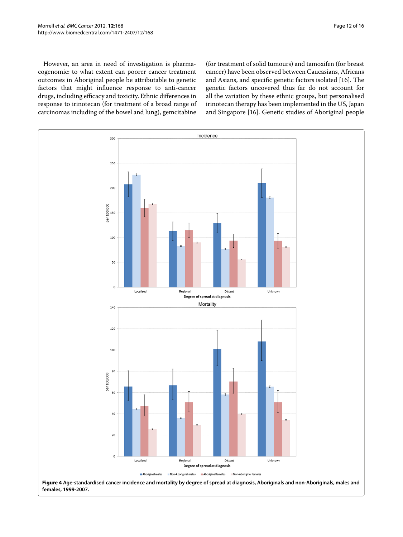However, an area in need of investigation is pharmacogenomic: to what extent can poorer cancer treatment outcomes in Aboriginal people be attributable to genetic factors that might influence response to anti-cancer drugs, including efficacy and toxicity. Ethnic differences in response to irinotecan (for treatment of a broad range of carcinomas including of the bowel and lung), gemcitabine (for treatment of solid tumours) and tamoxifen (for breast cancer) have been observed between Caucasians, Africans and Asians, and specific genetic factors isolated [\[16\]](#page-15-13). The genetic factors uncovered thus far do not account for all the variation by these ethnic groups, but personalised irinotecan therapy has been implemented in the US, Japan and Singapore [\[16\]](#page-15-13). Genetic studies of Aboriginal people



<span id="page-11-0"></span>**Figure 4 Age-standardised cancer incidence and mortality by degree of spread at diagnosis, Aboriginals and non-Aboriginals, males and females, 1999-2007.**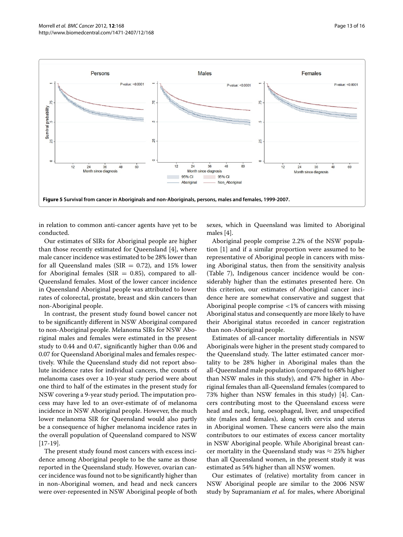

<span id="page-12-0"></span>in relation to common anti-cancer agents have yet to be conducted.

Our estimates of SIRs for Aboriginal people are higher than those recently estimated for Queensland [\[4\]](#page-15-2), where male cancer incidence was estimated to be 28% lower than for all Queensland males (SIR  $= 0.72$ ), and 15% lower for Aboriginal females ( $SIR = 0.85$ ), compared to all-Queensland females. Most of the lower cancer incidence in Queensland Aboriginal people was attributed to lower rates of colorectal, prostate, breast and skin cancers than non-Aboriginal people.

In contrast, the present study found bowel cancer not to be significantly different in NSW Aboriginal compared to non-Aboriginal people. Melanoma SIRs for NSW Aboriginal males and females were estimated in the present study to 0.44 and 0.47, significantly higher than 0.06 and 0.07 for Queensland Aboriginal males and females respectively. While the Queensland study did not report absolute incidence rates for individual cancers, the counts of melanoma cases over a 10-year study period were about one third to half of the estimates in the present study for NSW covering a 9-year study period. The imputation process may have led to an over-estimate of of melanoma incidence in NSW Aboriginal people. However, the much lower melanoma SIR for Queensland would also partly be a consequence of higher melanoma incidence rates in the overall population of Queensland compared to NSW [\[17](#page-15-14)[-19\]](#page-15-15).

The present study found most cancers with excess incidence among Aboriginal people to be the same as those reported in the Queensland study. However, ovarian cancer incidence was found not to be significantly higher than in non-Aboriginal women, and head and neck cancers were over-represented in NSW Aboriginal people of both sexes, which in Queensland was limited to Aboriginal males [\[4\]](#page-15-2).

Aboriginal people comprise 2.2% of the NSW population [\[1\]](#page-14-0) and if a similar proportion were assumed to be representative of Aboriginal people in cancers with missing Aboriginal status, then from the sensitivity analysis (Table [7\)](#page-14-1), Indigenous cancer incidence would be considerably higher than the estimates presented here. On this criterion, our estimates of Aboriginal cancer incidence here are somewhat conservative and suggest that Aboriginal people comprise *<*1% of cancers with missing Aboriginal status and consequently are more likely to have their Aboriginal status recorded in cancer registration than non-Aboriginal people.

Estimates of all-cancer mortality differentials in NSW Aboriginals were higher in the present study compared to the Queensland study. The latter estimated cancer mortality to be 28% higher in Aboriginal males than the all-Queensland male population (compared to 68% higher than NSW males in this study), and 47% higher in Aboriginal females than all-Queensland females (compared to 73% higher than NSW females in this study) [\[4\]](#page-15-2). Cancers contributing most to the Queensland excess were head and neck, lung, oesophageal, liver, and unspecified site (males and females), along with cervix and uterus in Aboriginal women. These cancers were also the main contributors to our estimates of excess cancer mortality in NSW Aboriginal people. While Aboriginal breast cancer mortality in the Queensland study was  $\approx$  25% higher than all Queensland women, in the present study it was estimated as 54% higher than all NSW women.

Our estimates of (relative) mortality from cancer in NSW Aboriginal people are similar to the 2006 NSW study by Supramaniam *et al.* for males, where Aboriginal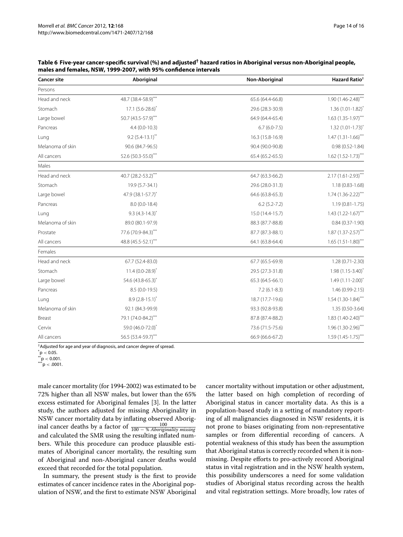| <b>Cancer site</b> | Aboriginal<br>Non-Aboriginal   |                  | Hazard Ratio <sup>†</sup>         |
|--------------------|--------------------------------|------------------|-----------------------------------|
| Persons            |                                |                  |                                   |
| Head and neck      | 48.7 (38.4-58.9)***            | 65.6 (64.4-66.8) | 1.90 (1.46-2.48)***               |
| Stomach            | $17.1$ (5.6-28.6) <sup>*</sup> | 29.6 (28.3-30.9) | $1.36(1.01 - 1.82)^{*}$           |
| Large bowel        | 50.7 (43.5-57.9)***            | 64.9 (64.4-65.4) | $1.63(1.35-1.97)$ ***             |
| Pancreas           | $4.4(0.0-10.3)$                | $6.7(6.0-7.5)$   | $1.32(1.01 - 1.73)^{*}$           |
| Lung               | $9.2$ (5.4-13.1) <sup>**</sup> | 16.3 (15.8-16.9) | $1.47(1.31-1.66)$ ***             |
| Melanoma of skin   | 90.6 (84.7-96.5)               | 90.4 (90.0-90.8) | $0.98(0.52 - 1.84)$               |
| All cancers        | 52.6 (50.3-55.0)***            | 65.4 (65.2-65.5) | $1.62$ (1.52-1.73) <sup>***</sup> |
| Males              |                                |                  |                                   |
| Head and neck      | 40.7 (28.2-53.2)"**            | 64.7 (63.3-66.2) | $2.17(1.61 - 2.93)$ ***           |
| Stomach            | 19.9 (5.7-34.1)                | 29.6 (28.0-31.3) | $1.18(0.83 - 1.68)$               |
| Large bowel        | 47.9 (38.1-57.7)*              | 64.6 (63.8-65.3) | $1.74(1.36 - 2.22)$ ***           |
| Pancreas           | 8.0 (0.0-18.4)                 | $6.2(5.2-7.2)$   | $1.19(0.81 - 1.75)$               |
| Lung               | $9.3(4.3-14.3)^{*}$            | 15.0 (14.4-15.7) | $1.43(1.22 - 1.67)$ ***           |
| Melanoma of skin   | 89.0 (80.1-97.9)               | 88.3 (87.7-88.8) | $0.84(0.37-1.90)$                 |
| Prostate           | 77.6 (70.9-84.3)***            | 87.7 (87.3-88.1) | $1.87(1.37 - 2.57)$ ***           |
| All cancers        | 48.8 (45.5-52.1)***            | 64.1 (63.8-64.4) | $1.65(1.51-1.80)$ ***             |
| Females            |                                |                  |                                   |
| Head and neck      | 67.7 (52.4-83.0)               | 67.7 (65.5-69.9) | 1.28 (0.71-2.30)                  |
| Stomach            | $11.4(0.0-28.9)^{*}$           | 29.5 (27.3-31.8) | $1.98(1.15 - 3.40)^{*}$           |
| Large bowel        | 54.6 (43.8-65.3)*              | 65.3 (64.5-66.1) | $1.49(1.11 - 2.00)^{*}$           |
| Pancreas           | 8.5 (0.0-19.5)                 | $7.2(6.1 - 8.3)$ | $1.46(0.99-2.15)$                 |
| Lung               | $8.9(2.8-15.1)^{*}$            | 18.7 (17.7-19.6) | $1.54(1.30-1.84)$ ***             |
| Melanoma of skin   | 92.1 (84.3-99.9)               | 93.3 (92.8-93.8) | 1.35 (0.50-3.64)                  |
| Breast             | 79.1 (74.0-84.2)***            | 87.8 (87.4-88.2) | $1.83(1.40-2.40)$ ***             |
| Cervix             | 59.0 (46.0-72.0)*              | 73.6 (71.5-75.6) | 1.96 (1.30-2.96)***               |
| All cancers        | 56.5 (53.4-59.7)***            | 66.9 (66.6-67.2) | $1.59(1.45 - 1.75)$ ***           |

<span id="page-13-0"></span>**Table 6 Five-year cancer-specific survival (%) and adjusted† hazard ratios in Aboriginal versus non-Aboriginal people, males and females, NSW, 1999-2007, with 95% confidence intervals**

†Adjusted for age and year of diagnosis, and cancer degree of spread.

<span id="page-13-1"></span>\*p *<* 0.05.

 $p$   $<$  0.001.

\*\*\*p *<* .0001.

male cancer mortality (for 1994-2002) was estimated to be 72% higher than all NSW males, but lower than the 65% excess estimated for Aboriginal females [\[3\]](#page-15-1). In the latter study, the authors adjusted for missing Aboriginality in NSW cancer mortality data by inflating observed Aboriginal cancer deaths by a factor of <sup>100</sup> 100 − % *Aboriginality missing* and calculated the SMR using the resulting inflated numbers. While this procedure can produce plausible estimates of Aboriginal cancer mortality, the resulting sum of Aboriginal and non-Aboriginal cancer deaths would exceed that recorded for the total population.

In summary, the present study is the first to provide estimates of cancer incidence rates in the Aboriginal population of NSW, and the first to estimate NSW Aboriginal

cancer mortality without imputation or other adjustment, the latter based on high completion of recording of Aboriginal status in cancer mortality data. As this is a population-based study in a setting of mandatory reporting of all malignancies diagnosed in NSW residents, it is not prone to biases originating from non-representative samples or from differential recording of cancers. A potential weakness of this study has been the assumption that Aboriginal status is correctly recorded when it is nonmissing. Despite efforts to pro-actively record Aboriginal status in vital registration and in the NSW health system, this possibility underscores a need for some validation studies of Aboriginal status recording across the health and vital registration settings. More broadly, low rates of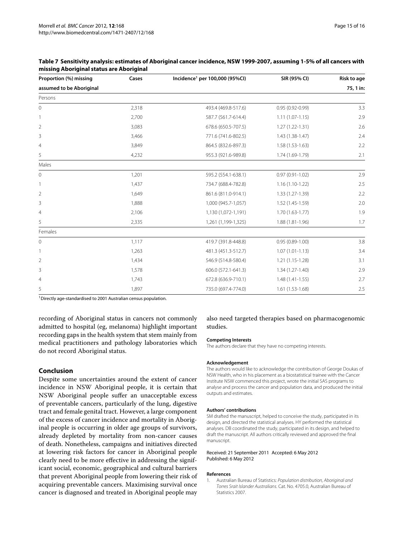| Proportion (%) missing   | Cases | Incidence <sup>1</sup> per 100,000 (95%Cl) | SIR (95% CI)        | Risk to age |
|--------------------------|-------|--------------------------------------------|---------------------|-------------|
| assumed to be Aboriginal |       |                                            |                     | 75, 1 in:   |
| Persons                  |       |                                            |                     |             |
| $\circ$                  | 2,318 | 493.4 (469.8-517.6)                        | $0.95(0.92 - 0.99)$ | 3.3         |
| $\mathbf{1}$             | 2,700 | 587.7 (561.7-614.4)                        | $1.11(1.07-1.15)$   | 2.9         |
| $\overline{2}$           | 3,083 | 678.6 (650.5-707.5)                        | $1.27(1.22 - 1.31)$ | 2.6         |
| 3                        | 3,466 | 771.6 (741.6-802.5)                        | $1.43(1.38-1.47)$   | 2.4         |
| 4                        | 3,849 | 864.5 (832.6-897.3)                        | $1.58(1.53-1.63)$   | 2.2         |
| 5                        | 4,232 | 955.3 (921.6-989.8)                        | 1.74 (1.69-1.79)    | 2.1         |
| Males                    |       |                                            |                     |             |
| $\mathbf 0$              | 1,201 | 595.2 (554.1-638.1)                        | $0.97(0.91 - 1.02)$ | 2.9         |
| 1                        | 1,437 | 734.7 (688.4-782.8)                        | $1.16(1.10-1.22)$   | 2.5         |
| 2                        | 1,649 | 861.6 (811.0-914.1)                        | 1.33 (1.27-1.39)    | 2.2         |
| 3                        | 1,888 | 1,000 (945.7-1,057)                        | 1.52 (1.45-1.59)    | 2.0         |
| 4                        | 2,106 | 1,130 (1,072-1,191)                        | $1.70(1.63-1.77)$   | 1.9         |
| 5                        | 2,335 | 1,261 (1,199-1,325)                        | 1.88 (1.81-1.96)    | 1.7         |
| Females                  |       |                                            |                     |             |
| 0                        | 1,117 | 419.7 (391.8-448.8)                        | $0.95(0.89-1.00)$   | 3.8         |
| 1                        | 1,263 | 481.3 (451.3-512.7)                        | $1.07(1.01 - 1.13)$ | 3.4         |
| 2                        | 1,434 | 546.9 (514.8-580.4)                        | $1.21(1.15-1.28)$   | 3.1         |
| 3                        | 1,578 | 606.0 (572.1-641.3)                        | $1.34(1.27-1.40)$   | 2.9         |
| 4                        | 1,743 | 672.8 (636.9-710.1)                        | $1.48(1.41-1.55)$   | 2.7         |
| 5                        | 1,897 | 735.0 (697.4-774.0)                        | $1.61(1.53-1.68)$   | 2.5         |

<span id="page-14-1"></span>**Table 7 Sensitivity analysis: estimates of Aboriginal cancer incidence, NSW 1999-2007, assuming 1-5% of all cancers with missing Aboriginal status are Aboriginal**

<span id="page-14-2"></span><sup>1</sup> Directly age-standardised to 2001 Australian census population.

recording of Aboriginal status in cancers not commonly admitted to hospital (eg, melanoma) highlight important recording gaps in the health system that stem mainly from medical practitioners and pathology laboratories which do not record Aboriginal status.

# **Conclusion**

Despite some uncertainties around the extent of cancer incidence in NSW Aboriginal people, it is certain that NSW Aboriginal people suffer an unacceptable excess of preventable cancers, particularly of the lung, digestive tract and female genital tract. However, a large component of the excess of cancer incidence and mortality in Aboriginal people is occurring in older age groups of survivors, already depleted by mortality from non-cancer causes of death. Nonetheless, campaigns and initiatives directed at lowering risk factors for cancer in Aboriginal people clearly need to be more effective in addressing the significant social, economic, geographical and cultural barriers that prevent Aboriginal people from lowering their risk of acquiring preventable cancers. Maximising survival once cancer is diagnosed and treated in Aboriginal people may also need targeted therapies based on pharmacogenomic studies.

#### **Competing Interests**

The authors declare that they have no competing interests.

#### **Acknowledgement**

The authors would like to acknowledge the contribution of George Doukas of NSW Health, who in his placement as a biostatistical trainee with the Cancer Institute NSW commenced this project, wrote the initial SAS programs to analyse and process the cancer and population data, and produced the initial outputs and estimates.

#### **Authors' contributions**

SM drafted the manuscript, helped to conceive the study, participated in its design, and directed the statistical analyses. HY performed the statistical analyses. DB coordinated the study, participated in its design, and helped to draft the manuscript. All authors critically reviewed and approved the final manuscript.

#### Received: 21 September 2011 Accepted: 6 May 2012 Published: 6 May 2012

#### **References**

<span id="page-14-0"></span>1. Australian Bureau of Statistics: Population distribution, Aboriginal and Torres Srait Islander Australians. Cat. No. 4705.0, Australian Bureau of Statistics 2007.